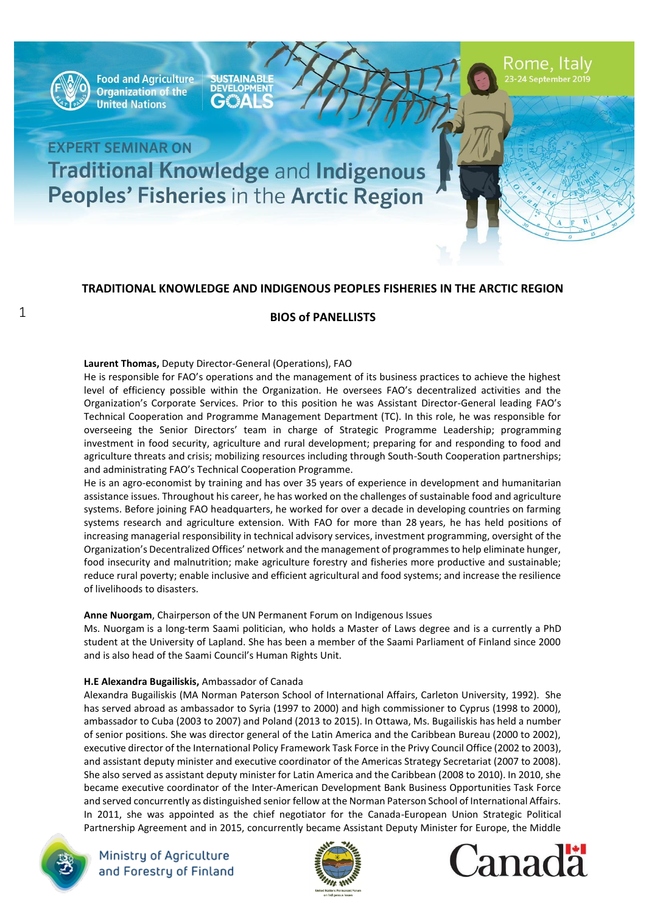

**Food and Agriculture Organization of the United Nations** 

**SUSTAINABLE DEVELOPMENT**  $\mathbf{A}$ 

Rome, Italy

# **EXPERT SEMINAR ON Traditional Knowledge and Indigenous** Peoples' Fisheries in the Arctic Region

### **TRADITIONAL KNOWLEDGE AND INDIGENOUS PEOPLES FISHERIES IN THE ARCTIC REGION**

### **BIOS of PANELLISTS**

#### **Laurent Thomas,** Deputy Director-General (Operations), FAO

He is responsible for FAO's operations and the management of its business practices to achieve the highest level of efficiency possible within the Organization. He oversees FAO's decentralized activities and the Organization's Corporate Services. Prior to this position he was Assistant Director-General leading FAO's Technical Cooperation and Programme Management Department (TC). In this role, he was responsible for overseeing the Senior Directors' team in charge of Strategic Programme Leadership; programming investment in food security, agriculture and rural development; preparing for and responding to food and agriculture threats and crisis; mobilizing resources including through South-South Cooperation partnerships; and administrating FAO's Technical Cooperation Programme.

He is an agro-economist by training and has over 35 years of experience in development and humanitarian assistance issues. Throughout his career, he has worked on the challenges of sustainable food and agriculture systems. Before joining FAO headquarters, he worked for over a decade in developing countries on farming systems research and agriculture extension. With FAO for more than 28 years, he has held positions of increasing managerial responsibility in technical advisory services, investment programming, oversight of the Organization's Decentralized Offices' network and the management of programmes to help eliminate hunger, food insecurity and malnutrition; make agriculture forestry and fisheries more productive and sustainable; reduce rural poverty; enable inclusive and efficient agricultural and food systems; and increase the resilience of livelihoods to disasters.

#### **Anne Nuorgam**, Chairperson of the UN Permanent Forum on Indigenous Issues

Ms. Nuorgam is a long-term Saami politician, who holds a Master of Laws degree and is a currently a PhD student at the University of Lapland. She has been a member of the Saami Parliament of Finland since 2000 and is also head of the Saami Council's Human Rights Unit.

#### **H.E Alexandra Bugailiskis,** Ambassador of Canada

Alexandra Bugailiskis (MA Norman Paterson School of International Affairs, Carleton University, 1992). She has served abroad as ambassador to Syria (1997 to 2000) and high commissioner to Cyprus (1998 to 2000), ambassador to Cuba (2003 to 2007) and Poland (2013 to 2015). In Ottawa, Ms. Bugailiskis has held a number of senior positions. She was director general of the Latin America and the Caribbean Bureau (2000 to 2002), executive director of the International Policy Framework Task Force in the Privy Council Office (2002 to 2003), and assistant deputy minister and executive coordinator of the Americas Strategy Secretariat (2007 to 2008). She also served as assistant deputy minister for Latin America and the Caribbean (2008 to 2010). In 2010, she became executive coordinator of the Inter-American Development Bank Business Opportunities Task Force and served concurrently as distinguished senior fellow at the Norman Paterson School of International Affairs. In 2011, she was appointed as the chief negotiator for the Canada-European Union Strategic Political Partnership Agreement and in 2015, concurrently became Assistant Deputy Minister for Europe, the Middle



Ministry of Agriculture and Forestry of Finland



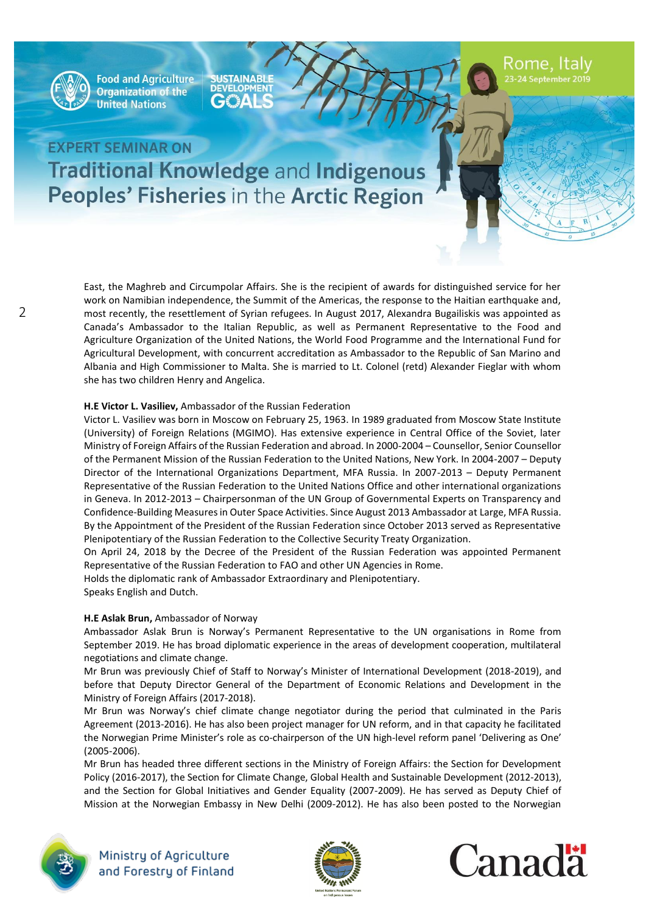

**SUSTAINABLE**  $\mathbf{A}$ 

Rome, Italy

# **EXPERT SEMINAR ON Traditional Knowledge and Indigenous** Peoples' Fisheries in the Arctic Region

East, the Maghreb and Circumpolar Affairs. She is the recipient of awards for distinguished service for her work on Namibian independence, the Summit of the Americas, the response to the Haitian earthquake and, most recently, the resettlement of Syrian refugees. In August 2017, Alexandra Bugailiskis was appointed as Canada's Ambassador to the Italian Republic, as well as Permanent Representative to the Food and Agriculture Organization of the United Nations, the World Food Programme and the International Fund for Agricultural Development, with concurrent accreditation as Ambassador to the Republic of San Marino and Albania and High Commissioner to Malta. She is married to Lt. Colonel (retd) Alexander Fieglar with whom she has two children Henry and Angelica.

#### **H.E Victor L. Vasiliev,** Ambassador of the Russian Federation

Victor L. Vasiliev was born in Moscow on February 25, 1963. In 1989 graduated from Moscow State Institute (University) of Foreign Relations (MGIMO). Has extensive experience in Central Office of the Soviet, later Ministry of Foreign Affairs of the Russian Federation and abroad. In 2000-2004 – Counsellor, Senior Counsellor of the Permanent Mission of the Russian Federation to the United Nations, New York. In 2004-2007 – Deputy Director of the International Organizations Department, MFA Russia. In 2007-2013 – Deputy Permanent Representative of the Russian Federation to the United Nations Office and other international organizations in Geneva. In 2012-2013 – Chairpersonman of the UN Group of Governmental Experts on Transparency and Confidence-Building Measures in Outer Space Activities. Since August 2013 Ambassador at Large, MFA Russia. By the Appointment of the President of the Russian Federation since October 2013 served as Representative Plenipotentiary of the Russian Federation to the Collective Security Treaty Organization.

On April 24, 2018 by the Decree of the President of the Russian Federation was appointed Permanent Representative of the Russian Federation to FAO and other UN Agencies in Rome.

Holds the diplomatic rank of Ambassador Extraordinary and Plenipotentiary. Speaks English and Dutch.

#### **H.E Aslak Brun,** Ambassador of Norway

Ambassador Aslak Brun is Norway's Permanent Representative to the UN organisations in Rome from September 2019. He has broad diplomatic experience in the areas of development cooperation, multilateral negotiations and climate change.

Mr Brun was previously Chief of Staff to Norway's Minister of International Development (2018-2019), and before that Deputy Director General of the Department of Economic Relations and Development in the Ministry of Foreign Affairs (2017-2018).

Mr Brun was Norway's chief climate change negotiator during the period that culminated in the Paris Agreement (2013-2016). He has also been project manager for UN reform, and in that capacity he facilitated the Norwegian Prime Minister's role as co-chairperson of the UN high-level reform panel 'Delivering as One' (2005-2006).

Mr Brun has headed three different sections in the Ministry of Foreign Affairs: the Section for Development Policy (2016-2017), the Section for Climate Change, Global Health and Sustainable Development (2012-2013), and the Section for Global Initiatives and Gender Equality (2007-2009). He has served as Deputy Chief of Mission at the Norwegian Embassy in New Delhi (2009-2012). He has also been posted to the Norwegian





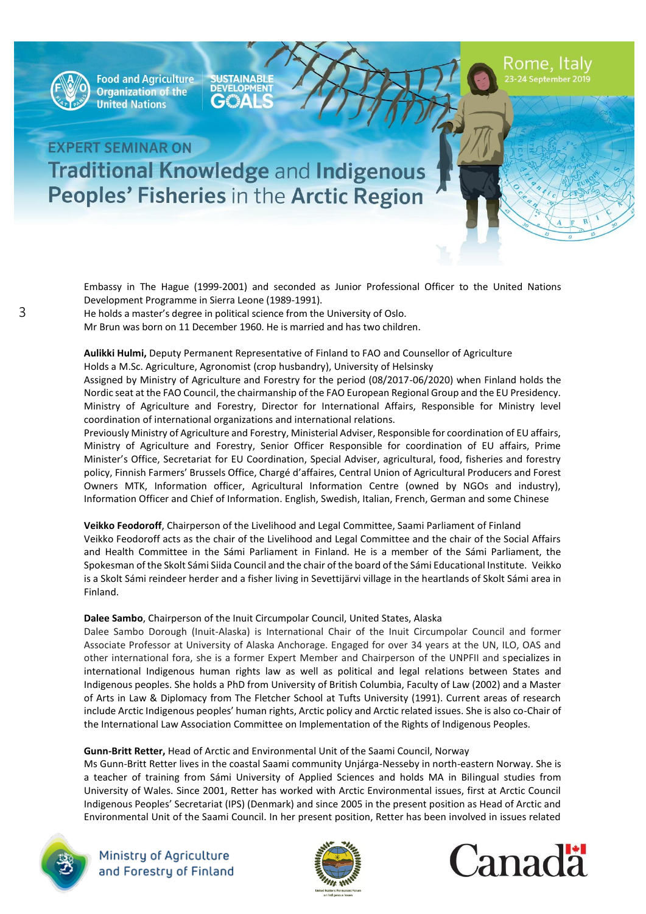

**SUSTAINABLE** €₩

Rome, Italy

# **EXPERT SEMINAR ON Traditional Knowledge and Indigenous** Peoples' Fisheries in the Arctic Region

Embassy in The Hague (1999-2001) and seconded as Junior Professional Officer to the United Nations Development Programme in Sierra Leone (1989-1991).

He holds a master's degree in political science from the University of Oslo.

Mr Brun was born on 11 December 1960. He is married and has two children.

**Aulikki Hulmi,** Deputy Permanent Representative of Finland to FAO and Counsellor of Agriculture Holds a M.Sc. Agriculture, Agronomist (crop husbandry), University of Helsinsky

Assigned by Ministry of Agriculture and Forestry for the period (08/2017-06/2020) when Finland holds the Nordic seat at the FAO Council, the chairmanship of the FAO European Regional Group and the EU Presidency. Ministry of Agriculture and Forestry, Director for International Affairs, Responsible for Ministry level coordination of international organizations and international relations.

Previously Ministry of Agriculture and Forestry, Ministerial Adviser, Responsible for coordination of EU affairs, Ministry of Agriculture and Forestry, Senior Officer Responsible for coordination of EU affairs, Prime Minister's Office, Secretariat for EU Coordination, Special Adviser, agricultural, food, fisheries and forestry policy, Finnish Farmers' Brussels Office, Chargé d'affaires, Central Union of Agricultural Producers and Forest Owners MTK, Information officer, Agricultural Information Centre (owned by NGOs and industry), Information Officer and Chief of Information. English, Swedish, Italian, French, German and some Chinese

### **Veikko Feodoroff**, Chairperson of the Livelihood and Legal Committee, Saami Parliament of Finland Veikko Feodoroff acts as the chair of the Livelihood and Legal Committee and the chair of the Social Affairs and Health Committee in the Sámi Parliament in Finland. He is a member of the Sámi Parliament, the Spokesman of the Skolt Sámi Siida Council and the chair of the board of the Sámi Educational Institute. Veikko is a Skolt Sámi reindeer herder and a fisher living in Sevettijärvi village in the heartlands of Skolt Sámi area in Finland.

#### **Dalee Sambo**, Chairperson of the Inuit Circumpolar Council, United States, Alaska

Dalee Sambo Dorough (Inuit-Alaska) is International Chair of the Inuit Circumpolar Council and former Associate Professor at University of Alaska Anchorage. Engaged for over 34 years at the UN, ILO, OAS and other international fora, she is a former Expert Member and Chairperson of the UNPFII and specializes in international Indigenous human rights law as well as political and legal relations between States and Indigenous peoples. She holds a PhD from University of British Columbia, Faculty of Law (2002) and a Master of Arts in Law & Diplomacy from The Fletcher School at Tufts University (1991). Current areas of research include Arctic Indigenous peoples' human rights, Arctic policy and Arctic related issues. She is also co-Chair of the International Law Association Committee on Implementation of the Rights of Indigenous Peoples.

### **Gunn-Britt Retter,** Head of Arctic and Environmental Unit of the Saami Council, Norway

Ms Gunn-Britt Retter lives in the coastal Saami community Unjárga-Nesseby in north-eastern Norway. She is a teacher of training from Sámi University of Applied Sciences and holds MA in Bilingual studies from University of Wales. Since 2001, Retter has worked with Arctic Environmental issues, first at Arctic Council Indigenous Peoples' Secretariat (IPS) (Denmark) and since 2005 in the present position as Head of Arctic and Environmental Unit of the Saami Council. In her present position, Retter has been involved in issues related





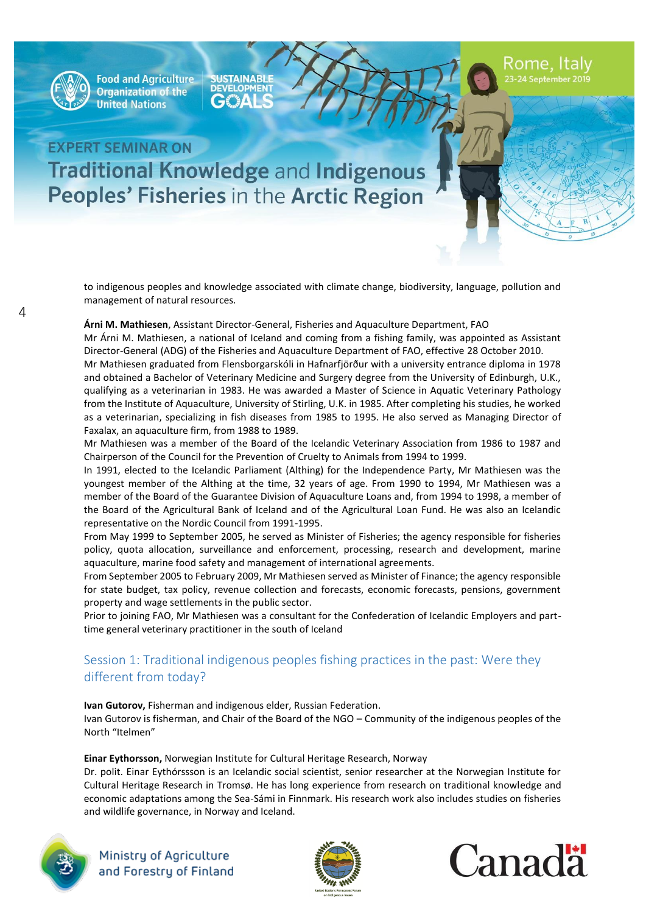

**SUSTAINABLE**<br>DEVELOPMENT €₩

Rome, Italy

# **EXPERT SEMINAR ON Traditional Knowledge and Indigenous Peoples' Fisheries in the Arctic Region**

to indigenous peoples and knowledge associated with climate change, biodiversity, language, pollution and management of natural resources.

#### **Árni M. Mathiesen**, Assistant Director-General, Fisheries and Aquaculture Department, FAO

Mr Árni M. Mathiesen, a national of Iceland and coming from a fishing family, was appointed as Assistant Director-General (ADG) of the Fisheries and Aquaculture Department of FAO, effective 28 October 2010.

Mr Mathiesen graduated from Flensborgarskóli in Hafnarfjörður with a university entrance diploma in 1978 and obtained a Bachelor of Veterinary Medicine and Surgery degree from the University of Edinburgh, U.K., qualifying as a veterinarian in 1983. He was awarded a Master of Science in Aquatic Veterinary Pathology from the Institute of Aquaculture, University of Stirling, U.K. in 1985. After completing his studies, he worked as a veterinarian, specializing in fish diseases from 1985 to 1995. He also served as Managing Director of Faxalax, an aquaculture firm, from 1988 to 1989.

Mr Mathiesen was a member of the Board of the Icelandic Veterinary Association from 1986 to 1987 and Chairperson of the Council for the Prevention of Cruelty to Animals from 1994 to 1999.

In 1991, elected to the Icelandic Parliament (Althing) for the Independence Party, Mr Mathiesen was the youngest member of the Althing at the time, 32 years of age. From 1990 to 1994, Mr Mathiesen was a member of the Board of the Guarantee Division of Aquaculture Loans and, from 1994 to 1998, a member of the Board of the Agricultural Bank of Iceland and of the Agricultural Loan Fund. He was also an Icelandic representative on the Nordic Council from 1991-1995.

From May 1999 to September 2005, he served as Minister of Fisheries; the agency responsible for fisheries policy, quota allocation, surveillance and enforcement, processing, research and development, marine aquaculture, marine food safety and management of international agreements.

From September 2005 to February 2009, Mr Mathiesen served as Minister of Finance; the agency responsible for state budget, tax policy, revenue collection and forecasts, economic forecasts, pensions, government property and wage settlements in the public sector.

Prior to joining FAO, Mr Mathiesen was a consultant for the Confederation of Icelandic Employers and parttime general veterinary practitioner in the south of Iceland

### Session 1: Traditional indigenous peoples fishing practices in the past: Were they different from today?

**Ivan Gutorov,** Fisherman and indigenous elder, Russian Federation.

Ivan Gutorov is fisherman, and Chair of the Board of the NGO – Community of the indigenous peoples of the North "Itelmen"

#### **Einar Eythorsson,** Norwegian Institute for Cultural Heritage Research, Norway

Dr. polit. Einar Eythórssson is an Icelandic social scientist, senior researcher at the Norwegian Institute for Cultural Heritage Research in Tromsø. He has long experience from research on traditional knowledge and economic adaptations among the Sea-Sámi in Finnmark. His research work also includes studies on fisheries and wildlife governance, in Norway and Iceland.





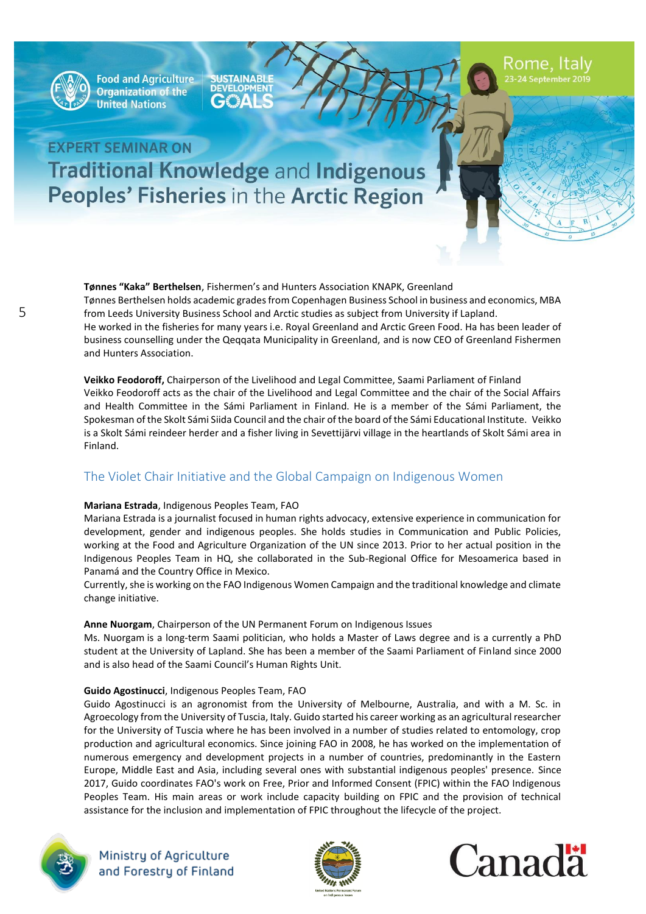

**SUSTAINABLE**  $\Delta \epsilon$ 

# **EXPERT SEMINAR ON Traditional Knowledge and Indigenous Peoples' Fisheries in the Arctic Region**

**Tønnes "Kaka" Berthelsen**, Fishermen's and Hunters Association KNAPK, Greenland Tønnes Berthelsen holds academic grades from Copenhagen Business School in business and economics, MBA from Leeds University Business School and Arctic studies as subject from University if Lapland.

He worked in the fisheries for many years i.e. Royal Greenland and Arctic Green Food. Ha has been leader of business counselling under the Qeqqata Municipality in Greenland, and is now CEO of Greenland Fishermen and Hunters Association.

**Veikko Feodoroff,** Chairperson of the Livelihood and Legal Committee, Saami Parliament of Finland Veikko Feodoroff acts as the chair of the Livelihood and Legal Committee and the chair of the Social Affairs and Health Committee in the Sámi Parliament in Finland. He is a member of the Sámi Parliament, the Spokesman of the Skolt Sámi Siida Council and the chair of the board of the Sámi Educational Institute. Veikko is a Skolt Sámi reindeer herder and a fisher living in Sevettijärvi village in the heartlands of Skolt Sámi area in Finland.

### The Violet Chair Initiative and the Global Campaign on Indigenous Women

#### **Mariana Estrada**, Indigenous Peoples Team, FAO

Mariana Estrada is a journalist focused in human rights advocacy, extensive experience in communication for development, gender and indigenous peoples. She holds studies in Communication and Public Policies, working at the Food and Agriculture Organization of the UN since 2013. Prior to her actual position in the Indigenous Peoples Team in HQ, she collaborated in the Sub-Regional Office for Mesoamerica based in Panamá and the Country Office in Mexico.

Currently, she is working on the FAO Indigenous Women Campaign and the traditional knowledge and climate change initiative.

### **Anne Nuorgam**, Chairperson of the UN Permanent Forum on Indigenous Issues

Ms. Nuorgam is a long-term Saami politician, who holds a Master of Laws degree and is a currently a PhD student at the University of Lapland. She has been a member of the Saami Parliament of Finland since 2000 and is also head of the Saami Council's Human Rights Unit.

#### **Guido Agostinucci**, Indigenous Peoples Team, FAO

Guido Agostinucci is an agronomist from the University of Melbourne, Australia, and with a M. Sc. in Agroecology from the University of Tuscia, Italy. Guido started his career working as an agricultural researcher for the University of Tuscia where he has been involved in a number of studies related to entomology, crop production and agricultural economics. Since joining FAO in 2008, he has worked on the implementation of numerous emergency and development projects in a number of countries, predominantly in the Eastern Europe, Middle East and Asia, including several ones with substantial indigenous peoples' presence. Since 2017, Guido coordinates FAO's work on Free, Prior and Informed Consent (FPIC) within the FAO Indigenous Peoples Team. His main areas or work include capacity building on FPIC and the provision of technical assistance for the inclusion and implementation of FPIC throughout the lifecycle of the project.





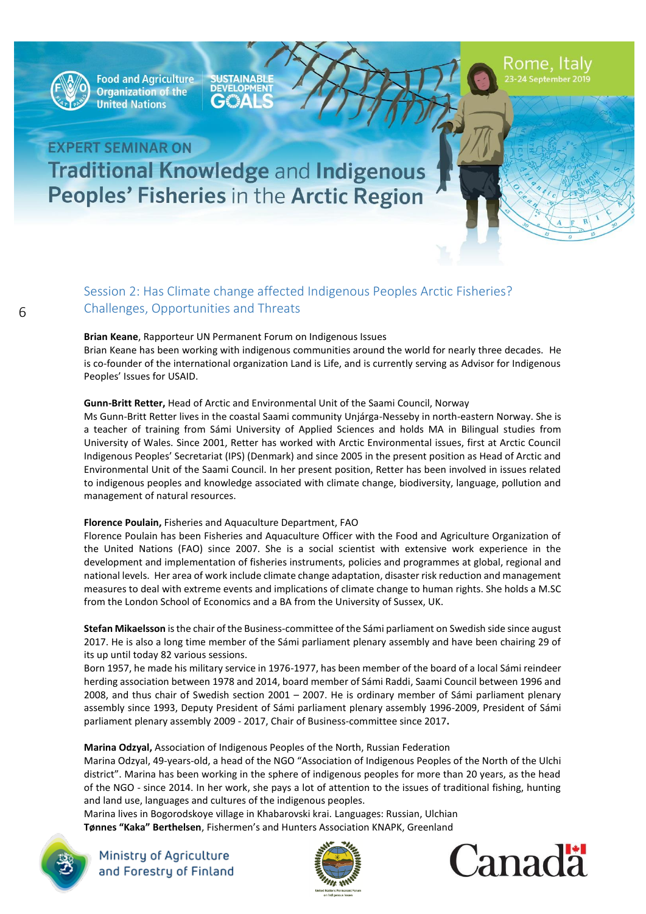

**SUSTAINABLE**<br>DEVELOPMENT  $\mathbf{A}$ 

# **EXPERT SEMINAR ON Traditional Knowledge and Indigenous** Peoples' Fisheries in the Arctic Region

### Session 2: Has Climate change affected Indigenous Peoples Arctic Fisheries? Challenges, Opportunities and Threats

#### **Brian Keane**, Rapporteur UN Permanent Forum on Indigenous Issues

Brian Keane has been working with indigenous communities around the world for nearly three decades. He is co-founder of the international organization Land is Life, and is currently serving as Advisor for Indigenous Peoples' Issues for USAID.

#### **Gunn-Britt Retter,** Head of Arctic and Environmental Unit of the Saami Council, Norway

Ms Gunn-Britt Retter lives in the coastal Saami community Unjárga-Nesseby in north-eastern Norway. She is a teacher of training from Sámi University of Applied Sciences and holds MA in Bilingual studies from University of Wales. Since 2001, Retter has worked with Arctic Environmental issues, first at Arctic Council Indigenous Peoples' Secretariat (IPS) (Denmark) and since 2005 in the present position as Head of Arctic and Environmental Unit of the Saami Council. In her present position, Retter has been involved in issues related to indigenous peoples and knowledge associated with climate change, biodiversity, language, pollution and management of natural resources.

#### **Florence Poulain,** Fisheries and Aquaculture Department, FAO

Florence Poulain has been Fisheries and Aquaculture Officer with the Food and Agriculture Organization of the United Nations (FAO) since 2007. She is a social scientist with extensive work experience in the development and implementation of fisheries instruments, policies and programmes at global, regional and national levels. Her area of work include climate change adaptation, disaster risk reduction and management measures to deal with extreme events and implications of climate change to human rights. She holds a M.SC from the London School of Economics and a BA from the University of Sussex, UK.

**Stefan Mikaelsson** is the chair of the Business-committee of the Sámi parliament on Swedish side since august 2017. He is also a long time member of the Sámi parliament plenary assembly and have been chairing 29 of its up until today 82 various sessions.

Born 1957, he made his military service in 1976-1977, has been member of the board of a local Sámi reindeer herding association between 1978 and 2014, board member of Sámi Raddi, Saami Council between 1996 and 2008, and thus chair of Swedish section 2001 – 2007. He is ordinary member of Sámi parliament plenary assembly since 1993, Deputy President of Sámi parliament plenary assembly 1996-2009, President of Sámi parliament plenary assembly 2009 - 2017, Chair of Business-committee since 2017**.**

#### **Marina Odzyal,** Association of Indigenous Peoples of the North, Russian Federation

Marina Odzyal, 49-years-old, a head of the NGO "Association of Indigenous Peoples of the North of the Ulchi district". Marina has been working in the sphere of indigenous peoples for more than 20 years, as the head of the NGO - since 2014. In her work, she pays a lot of attention to the issues of traditional fishing, hunting and land use, languages and cultures of the indigenous peoples.

Marina lives in Bogorodskoye village in Khabarovski krai. Languages: Russian, Ulchian **Tønnes "Kaka" Berthelsen**, Fishermen's and Hunters Association KNAPK, Greenland





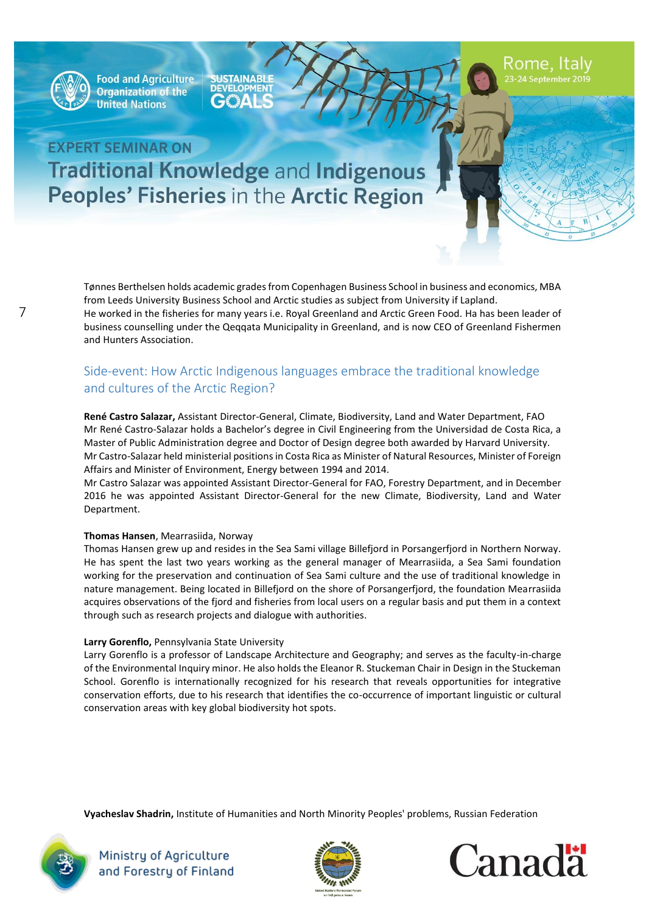

**SUSTAINABLE**<br>DEVELOPMENT  $\mathbf{A}$ 

Rome, Italy

# **EXPERT SEMINAR ON Traditional Knowledge and Indigenous Peoples' Fisheries in the Arctic Region**

Tønnes Berthelsen holds academic grades from Copenhagen Business School in business and economics, MBA from Leeds University Business School and Arctic studies as subject from University if Lapland. He worked in the fisheries for many years i.e. Royal Greenland and Arctic Green Food. Ha has been leader of business counselling under the Qeqqata Municipality in Greenland, and is now CEO of Greenland Fishermen and Hunters Association.

### Side-event: How Arctic Indigenous languages embrace the traditional knowledge and cultures of the Arctic Region?

**René Castro Salazar,** Assistant Director-General, Climate, Biodiversity, Land and Water Department, FAO Mr René Castro-Salazar holds a Bachelor's degree in Civil Engineering from the Universidad de Costa Rica, a Master of Public Administration degree and Doctor of Design degree both awarded by Harvard University. Mr Castro-Salazar held ministerial positions in Costa Rica as Minister of Natural Resources, Minister of Foreign Affairs and Minister of Environment, Energy between 1994 and 2014.

Mr Castro Salazar was appointed Assistant Director-General for FAO, Forestry Department, and in December 2016 he was appointed Assistant Director-General for the new Climate, Biodiversity, Land and Water Department.

#### **Thomas Hansen**, Mearrasiida, Norway

Thomas Hansen grew up and resides in the Sea Sami village Billefjord in Porsangerfjord in Northern Norway. He has spent the last two years working as the general manager of Mearrasiida, a Sea Sami foundation working for the preservation and continuation of Sea Sami culture and the use of traditional knowledge in nature management. Being located in Billefjord on the shore of Porsangerfjord, the foundation Mearrasiida acquires observations of the fjord and fisheries from local users on a regular basis and put them in a context through such as research projects and dialogue with authorities.

#### **Larry Gorenflo,** Pennsylvania State University

Larry Gorenflo is a professor of Landscape Architecture and Geography; and serves as the faculty-in-charge of the Environmental Inquiry minor. He also holds the Eleanor R. Stuckeman Chair in Design in the Stuckeman School. Gorenflo is internationally recognized for his research that reveals opportunities for integrative conservation efforts, due to his research that identifies the co-occurrence of important linguistic or cultural conservation areas with key global biodiversity hot spots.

**Vyacheslav Shadrin,** Institute of Humanities and North Minority Peoples' problems, Russian Federation





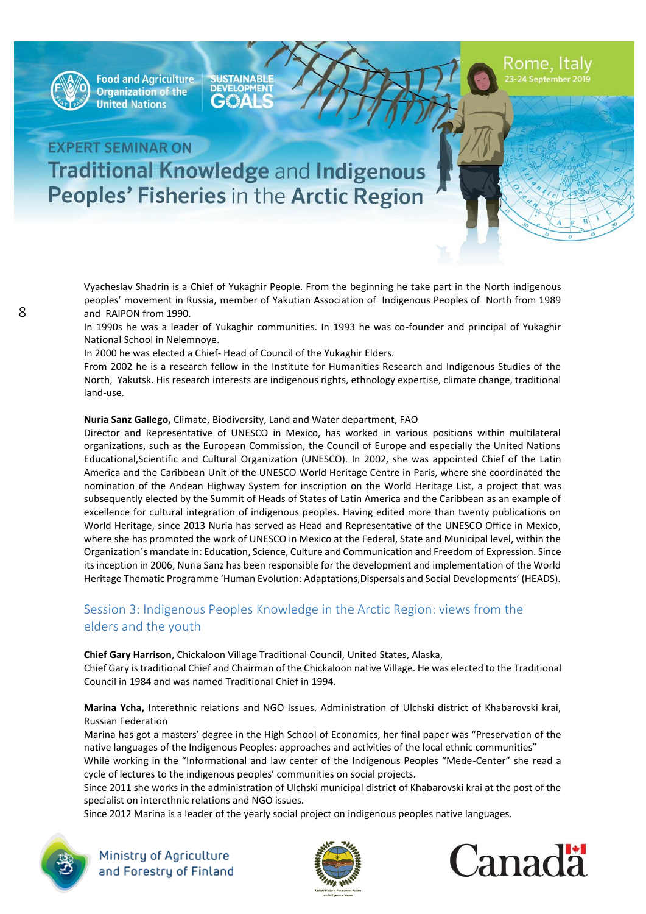

**SUSTAINABLE DEVELOPMENT** €₩

## **EXPERT SEMINAR ON Traditional Knowledge and Indigenous Peoples' Fisheries in the Arctic Region**

Vyacheslav Shadrin is a Chief of Yukaghir People. From the beginning he take part in the North indigenous peoples' movement in Russia, member of Yakutian Association of Indigenous Peoples of North from 1989 and RAIPON from 1990.

In 1990s he was a leader of Yukaghir communities. In 1993 he was co-founder and principal of Yukaghir National School in Nelemnoye.

In 2000 he was elected a Chief- Head of Council of the Yukaghir Elders.

From 2002 he is a research fellow in the Institute for Humanities Research and Indigenous Studies of the North, Yakutsk. His research interests are indigenous rights, ethnology expertise, climate change, traditional land-use.

#### **Nuria Sanz Gallego,** Climate, Biodiversity, Land and Water department, FAO

Director and Representative of UNESCO in Mexico, has worked in various positions within multilateral organizations, such as the European Commission, the Council of Europe and especially the United Nations Educational,Scientific and Cultural Organization (UNESCO). In 2002, she was appointed Chief of the Latin America and the Caribbean Unit of the UNESCO World Heritage Centre in Paris, where she coordinated the nomination of the Andean Highway System for inscription on the World Heritage List, a project that was subsequently elected by the Summit of Heads of States of Latin America and the Caribbean as an example of excellence for cultural integration of indigenous peoples. Having edited more than twenty publications on World Heritage, since 2013 Nuria has served as Head and Representative of the UNESCO Office in Mexico, where she has promoted the work of UNESCO in Mexico at the Federal, State and Municipal level, within the Organization´s mandate in: Education, Science, Culture and Communication and Freedom of Expression. Since its inception in 2006, Nuria Sanz has been responsible for the development and implementation of the World Heritage Thematic Programme 'Human Evolution: Adaptations,Dispersals and Social Developments' (HEADS).

### Session 3: Indigenous Peoples Knowledge in the Arctic Region: views from the elders and the youth

#### **Chief Gary Harrison**, Chickaloon Village Traditional Council, United States, Alaska, Chief Gary is traditional Chief and Chairman of the Chickaloon native Village. He was elected to the Traditional Council in 1984 and was named Traditional Chief in 1994.

**Marina Ycha,** Interethnic relations and NGO Issues. Administration of Ulchski district of Khabarovski krai, Russian Federation

Marina has got a masters' degree in the High School of Economics, her final paper was "Preservation of the native languages of the Indigenous Peoples: approaches and activities of the local ethnic communities"

While working in the "Informational and law center of the Indigenous Peoples "Mede-Center" she read a cycle of lectures to the indigenous peoples' communities on social projects.

Since 2011 she works in the administration of Ulchski municipal district of Khabarovski krai at the post of the specialist on interethnic relations and NGO issues.

Since 2012 Marina is a leader of the yearly social project on indigenous peoples native languages.





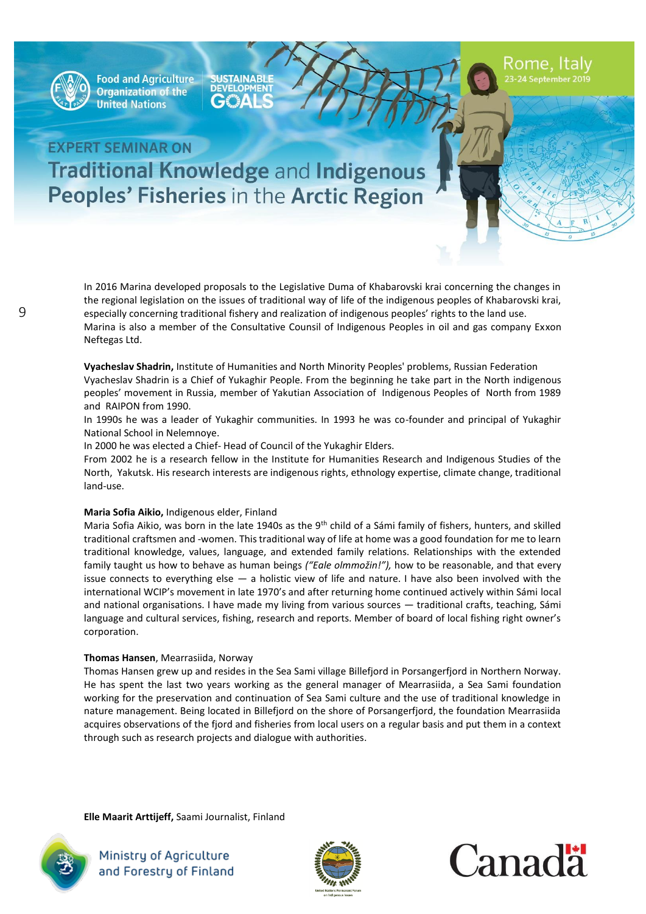

**SUSTAINABLE** €₩

## **EXPERT SEMINAR ON Traditional Knowledge and Indigenous Peoples' Fisheries in the Arctic Region**

In 2016 Marina developed proposals to the Legislative Duma of Khabarovski krai concerning the changes in the regional legislation on the issues of traditional way of life of the indigenous peoples of Khabarovski krai, especially concerning traditional fishery and realization of indigenous peoples' rights to the land use. Marina is also a member of the Consultative Counsil of Indigenous Peoples in oil and gas company Exxon

Neftegas Ltd.

**Vyacheslav Shadrin,** Institute of Humanities and North Minority Peoples' problems, Russian Federation Vyacheslav Shadrin is a Chief of Yukaghir People. From the beginning he take part in the North indigenous peoples' movement in Russia, member of Yakutian Association of Indigenous Peoples of North from 1989 and RAIPON from 1990.

In 1990s he was a leader of Yukaghir communities. In 1993 he was co-founder and principal of Yukaghir National School in Nelemnoye.

In 2000 he was elected a Chief- Head of Council of the Yukaghir Elders.

From 2002 he is a research fellow in the Institute for Humanities Research and Indigenous Studies of the North, Yakutsk. His research interests are indigenous rights, ethnology expertise, climate change, traditional land-use.

#### **Maria Sofia Aikio,** Indigenous elder, Finland

Maria Sofia Aikio, was born in the late 1940s as the 9<sup>th</sup> child of a Sámi family of fishers, hunters, and skilled traditional craftsmen and -women. This traditional way of life at home was a good foundation for me to learn traditional knowledge, values, language, and extended family relations. Relationships with the extended family taught us how to behave as human beings *("Eale olmmožin!"),* how to be reasonable, and that every issue connects to everything else — a holistic view of life and nature. I have also been involved with the international WCIP's movement in late 1970's and after returning home continued actively within Sámi local and national organisations. I have made my living from various sources — traditional crafts, teaching, Sámi language and cultural services, fishing, research and reports. Member of board of local fishing right owner's corporation.

#### **Thomas Hansen**, Mearrasiida, Norway

Thomas Hansen grew up and resides in the Sea Sami village Billefjord in Porsangerfjord in Northern Norway. He has spent the last two years working as the general manager of Mearrasiida, a Sea Sami foundation working for the preservation and continuation of Sea Sami culture and the use of traditional knowledge in nature management. Being located in Billefjord on the shore of Porsangerfjord, the foundation Mearrasiida acquires observations of the fjord and fisheries from local users on a regular basis and put them in a context through such as research projects and dialogue with authorities.

**Elle Maarit Arttijeff,** Saami Journalist, Finland





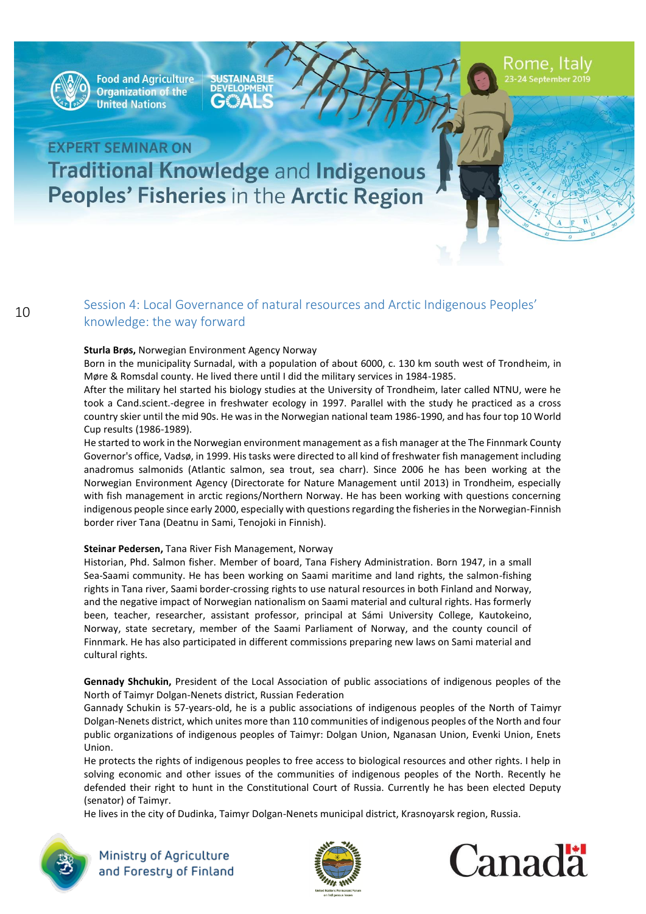

**SUSTAINABLE**<br>DEVELOPMENT €₩

Rome, Italy

# **EXPERT SEMINAR ON Traditional Knowledge and Indigenous** Peoples' Fisheries in the Arctic Region

### <sup>10</sup> Session 4: Local Governance of natural resources and Arctic Indigenous Peoples' knowledge: the way forward

#### **Sturla Brøs,** Norwegian Environment Agency Norway

Born in the municipality Surnadal, with a population of about 6000, c. 130 km south west of Trondheim, in Møre & Romsdal county. He lived there until I did the military services in 1984-1985.

After the military heI started his biology studies at the University of Trondheim, later called NTNU, were he took a Cand.scient.-degree in freshwater ecology in 1997. Parallel with the study he practiced as a cross country skier until the mid 90s. He was in the Norwegian national team 1986-1990, and has four top 10 World Cup results (1986-1989).

He started to work in the Norwegian environment management as a fish manager at the The Finnmark County Governor's office, Vadsø, in 1999. His tasks were directed to all kind of freshwater fish management including anadromus salmonids (Atlantic salmon, sea trout, sea charr). Since 2006 he has been working at the Norwegian Environment Agency (Directorate for Nature Management until 2013) in Trondheim, especially with fish management in arctic regions/Northern Norway. He has been working with questions concerning indigenous people since early 2000, especially with questions regarding the fisheries in the Norwegian-Finnish border river Tana (Deatnu in Sami, Tenojoki in Finnish).

#### **[Steinar Pedersen,](mailto:steinar-maritimus@outlook.com)** [Tana River Fish Management,](http://tanafisk.no/en/about-us) Norway

Historian, Phd. Salmon fisher. Member of board, Tana Fishery Administration. Born 1947, in a small Sea-Saami community. He has been working on Saami maritime and land rights, the salmon-fishing rights in Tana river, Saami border-crossing rights to use natural resources in both Finland and Norway, and the negative impact of Norwegian nationalism on Saami material and cultural rights. Has formerly been, teacher, researcher, assistant professor, principal at Sámi University College, Kautokeino, Norway, state secretary, member of the Saami Parliament of Norway, and the county council of Finnmark. He has also participated in different commissions preparing new laws on Sami material and cultural rights.

**Gennady Shchukin,** President of the Local Association of public associations of indigenous peoples of the North of Taimyr Dolgan-Nenets district, Russian Federation

Gannady Schukin is 57-years-old, he is a public associations of indigenous peoples of the North of Taimyr Dolgan-Nenets district, which unites more than 110 communities of indigenous peoples of the North and four public organizations of indigenous peoples of Taimyr: Dolgan Union, Nganasan Union, Evenki Union, Enets Union.

He protects the rights of indigenous peoples to free access to biological resources and other rights. I help in solving economic and other issues of the communities of indigenous peoples of the North. Recently he defended their right to hunt in the Constitutional Court of Russia. Currently he has been elected Deputy (senator) of Taimyr.

He lives in the city of Dudinka, Taimyr Dolgan-Nenets municipal district, Krasnoyarsk region, Russia.





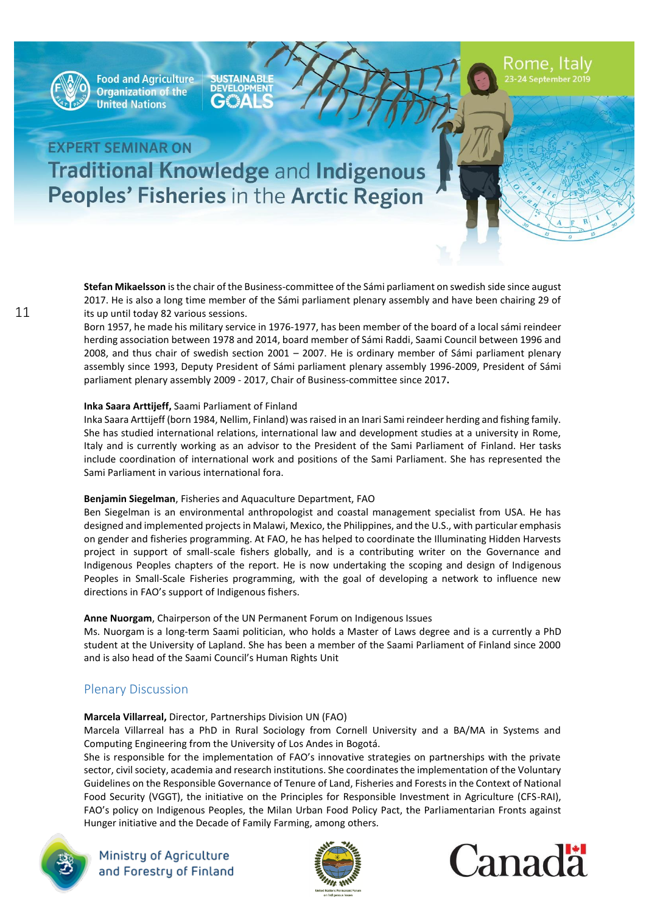

**SUSTAINABLE**<br>DEVELOPMENT  $\mathbf{A}$ 

Rome, Italy

# **EXPERT SEMINAR ON Traditional Knowledge and Indigenous** Peoples' Fisheries in the Arctic Region

**Stefan Mikaelsson** is the chair of the Business-committee of the Sámi parliament on swedish side since august 2017. He is also a long time member of the Sámi parliament plenary assembly and have been chairing 29 of its up until today 82 various sessions.

Born 1957, he made his military service in 1976-1977, has been member of the board of a local sámi reindeer herding association between 1978 and 2014, board member of Sámi Raddi, Saami Council between 1996 and 2008, and thus chair of swedish section 2001 – 2007. He is ordinary member of Sámi parliament plenary assembly since 1993, Deputy President of Sámi parliament plenary assembly 1996-2009, President of Sámi parliament plenary assembly 2009 - 2017, Chair of Business-committee since 2017**.**

#### **Inka Saara Arttijeff,** Saami Parliament of Finland

Inka Saara Arttijeff (born 1984, Nellim, Finland) was raised in an Inari Sami reindeer herding and fishing family. She has studied international relations, international law and development studies at a university in Rome, Italy and is currently working as an advisor to the President of the Sami Parliament of Finland. Her tasks include coordination of international work and positions of the Sami Parliament. She has represented the Sami Parliament in various international fora.

#### **Benjamin Siegelman**, Fisheries and Aquaculture Department, FAO

Ben Siegelman is an environmental anthropologist and coastal management specialist from USA. He has designed and implemented projects in Malawi, Mexico, the Philippines, and the U.S., with particular emphasis on gender and fisheries programming. At FAO, he has helped to coordinate the Illuminating Hidden Harvests project in support of small-scale fishers globally, and is a contributing writer on the Governance and Indigenous Peoples chapters of the report. He is now undertaking the scoping and design of Indigenous Peoples in Small-Scale Fisheries programming, with the goal of developing a network to influence new directions in FAO's support of Indigenous fishers.

#### **Anne Nuorgam**, Chairperson of the UN Permanent Forum on Indigenous Issues

Ms. Nuorgam is a long-term Saami politician, who holds a Master of Laws degree and is a currently a PhD student at the University of Lapland. She has been a member of the Saami Parliament of Finland since 2000 and is also head of the Saami Council's Human Rights Unit

### Plenary Discussion

### **Marcela Villarreal,** Director, Partnerships Division UN (FAO)

Marcela Villarreal has a PhD in Rural Sociology from Cornell University and a BA/MA in Systems and Computing Engineering from the University of Los Andes in Bogotá.

She is responsible for the implementation of FAO's innovative strategies on partnerships with the private sector, civil society, academia and research institutions. She coordinates the implementation of the Voluntary Guidelines on the Responsible Governance of Tenure of Land, Fisheries and Forests in the Context of National Food Security (VGGT), the initiative on the Principles for Responsible Investment in Agriculture (CFS-RAI), FAO's policy on Indigenous Peoples, the Milan Urban Food Policy Pact, the Parliamentarian Fronts against Hunger initiative and the Decade of Family Farming, among others.





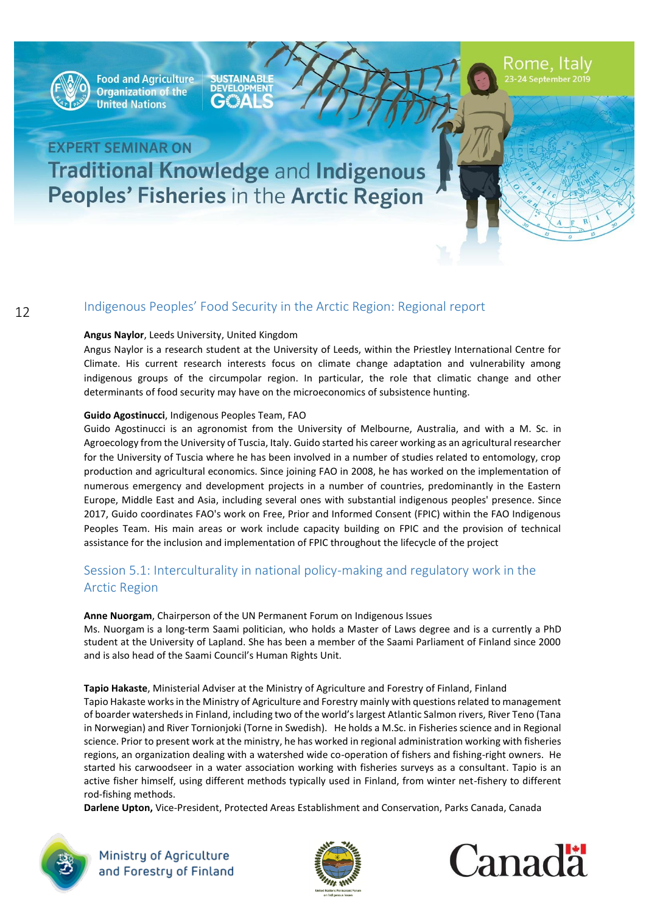

**Food and Agriculture Organization of the United Nations** 

**SUSTAINABLE**<br>DEVELOPMENT  $G$  $^{\prime\prime}$   $\Delta$ 

Rome, Italy<br>23-24 September 2019

# **EXPERT SEMINAR ON Traditional Knowledge and Indigenous** Peoples' Fisheries in the Arctic Region

### Indigenous Peoples' Food Security in the Arctic Region: Regional report

#### **Angus Naylor**, Leeds University, United Kingdom

Angus Naylor is a research student at the University of Leeds, within the Priestley International Centre for Climate. His current research interests focus on climate change adaptation and vulnerability among indigenous groups of the circumpolar region. In particular, the role that climatic change and other determinants of food security may have on the microeconomics of subsistence hunting.

#### **Guido Agostinucci**, Indigenous Peoples Team, FAO

Guido Agostinucci is an agronomist from the University of Melbourne, Australia, and with a M. Sc. in Agroecology from the University of Tuscia, Italy. Guido started his career working as an agricultural researcher for the University of Tuscia where he has been involved in a number of studies related to entomology, crop production and agricultural economics. Since joining FAO in 2008, he has worked on the implementation of numerous emergency and development projects in a number of countries, predominantly in the Eastern Europe, Middle East and Asia, including several ones with substantial indigenous peoples' presence. Since 2017, Guido coordinates FAO's work on Free, Prior and Informed Consent (FPIC) within the FAO Indigenous Peoples Team. His main areas or work include capacity building on FPIC and the provision of technical assistance for the inclusion and implementation of FPIC throughout the lifecycle of the project

### Session 5.1: Interculturality in national policy-making and regulatory work in the Arctic Region

#### **Anne Nuorgam**, Chairperson of the UN Permanent Forum on Indigenous Issues Ms. Nuorgam is a long-term Saami politician, who holds a Master of Laws degree and is a currently a PhD student at the University of Lapland. She has been a member of the Saami Parliament of Finland since 2000 and is also head of the Saami Council's Human Rights Unit.

**Tapio Hakaste**, Ministerial Adviser at the Ministry of Agriculture and Forestry of Finland, Finland Tapio Hakaste works in the Ministry of Agriculture and Forestry mainly with questions related to management of boarder watersheds in Finland, including two of the world's largest Atlantic Salmon rivers, River Teno (Tana in Norwegian) and River Tornionjoki (Torne in Swedish). He holds a M.Sc. in Fisheries science and in Regional science. Prior to present work at the ministry, he has worked in regional administration working with fisheries regions, an organization dealing with a watershed wide co-operation of fishers and fishing-right owners. He started his carwoodseer in a water association working with fisheries surveys as a consultant. Tapio is an active fisher himself, using different methods typically used in Finland, from winter net-fishery to different rod-fishing methods.

**Darlene Upton,** Vice-President, Protected Areas Establishment and Conservation, Parks Canada, Canada





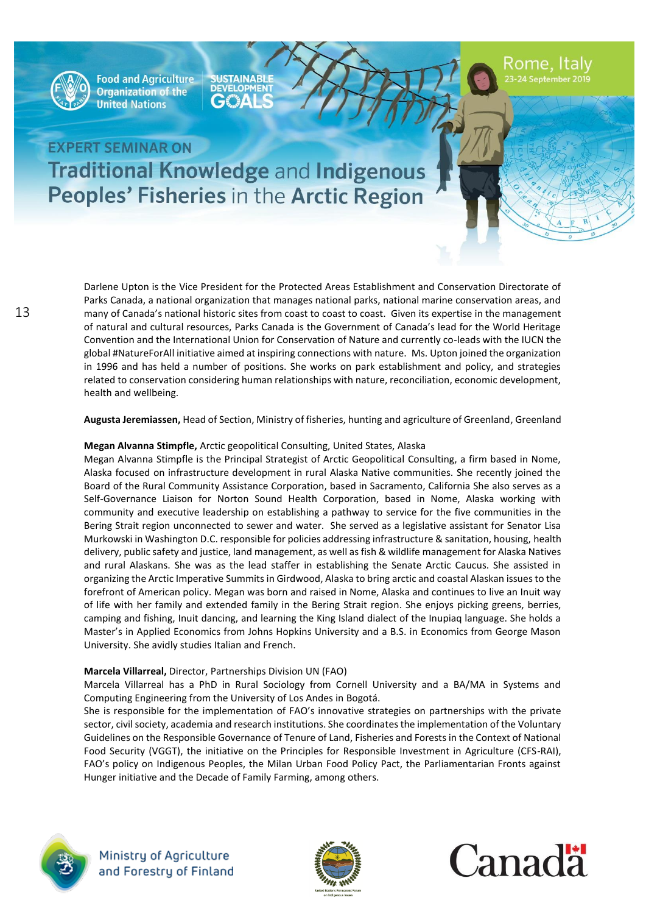

**SUSTAINABLE** €"≩∆∣

Rome, Italy

# **EXPERT SEMINAR ON Traditional Knowledge and Indigenous Peoples' Fisheries in the Arctic Region**

Darlene Upton is the Vice President for the Protected Areas Establishment and Conservation Directorate of Parks Canada, a national organization that manages national parks, national marine conservation areas, and many of Canada's national historic sites from coast to coast to coast. Given its expertise in the management of natural and cultural resources, Parks Canada is the Government of Canada's lead for the World Heritage Convention and the International Union for Conservation of Nature and currently co-leads with the IUCN the global #NatureForAll initiative aimed at inspiring connections with nature. Ms. Upton joined the organization in 1996 and has held a number of positions. She works on park establishment and policy, and strategies related to conservation considering human relationships with nature, reconciliation, economic development, health and wellbeing.

**Augusta Jeremiassen,** Head of Section, Ministry of fisheries, hunting and agriculture of Greenland, Greenland

#### **Megan Alvanna Stimpfle,** Arctic geopolitical Consulting, United States, Alaska

Megan Alvanna Stimpfle is the Principal Strategist of Arctic Geopolitical Consulting, a firm based in Nome, Alaska focused on infrastructure development in rural Alaska Native communities. She recently joined the Board of the Rural Community Assistance Corporation, based in Sacramento, California She also serves as a Self-Governance Liaison for Norton Sound Health Corporation, based in Nome, Alaska working with community and executive leadership on establishing a pathway to service for the five communities in the Bering Strait region unconnected to sewer and water. She served as a legislative assistant for Senator Lisa Murkowski in Washington D.C. responsible for policies addressing infrastructure & sanitation, housing, health delivery, public safety and justice, land management, as well as fish & wildlife management for Alaska Natives and rural Alaskans. She was as the lead staffer in establishing the Senate Arctic Caucus. She assisted in organizing the Arctic Imperative Summits in Girdwood, Alaska to bring arctic and coastal Alaskan issues to the forefront of American policy. Megan was born and raised in Nome, Alaska and continues to live an Inuit way of life with her family and extended family in the Bering Strait region. She enjoys picking greens, berries, camping and fishing, Inuit dancing, and learning the King Island dialect of the Inupiaq language. She holds a Master's in Applied Economics from Johns Hopkins University and a B.S. in Economics from George Mason University. She avidly studies Italian and French.

#### **Marcela Villarreal,** Director, Partnerships Division UN (FAO)

Marcela Villarreal has a PhD in Rural Sociology from Cornell University and a BA/MA in Systems and Computing Engineering from the University of Los Andes in Bogotá.

She is responsible for the implementation of FAO's innovative strategies on partnerships with the private sector, civil society, academia and research institutions. She coordinates the implementation of the Voluntary Guidelines on the Responsible Governance of Tenure of Land, Fisheries and Forests in the Context of National Food Security (VGGT), the initiative on the Principles for Responsible Investment in Agriculture (CFS-RAI), FAO's policy on Indigenous Peoples, the Milan Urban Food Policy Pact, the Parliamentarian Fronts against Hunger initiative and the Decade of Family Farming, among others.





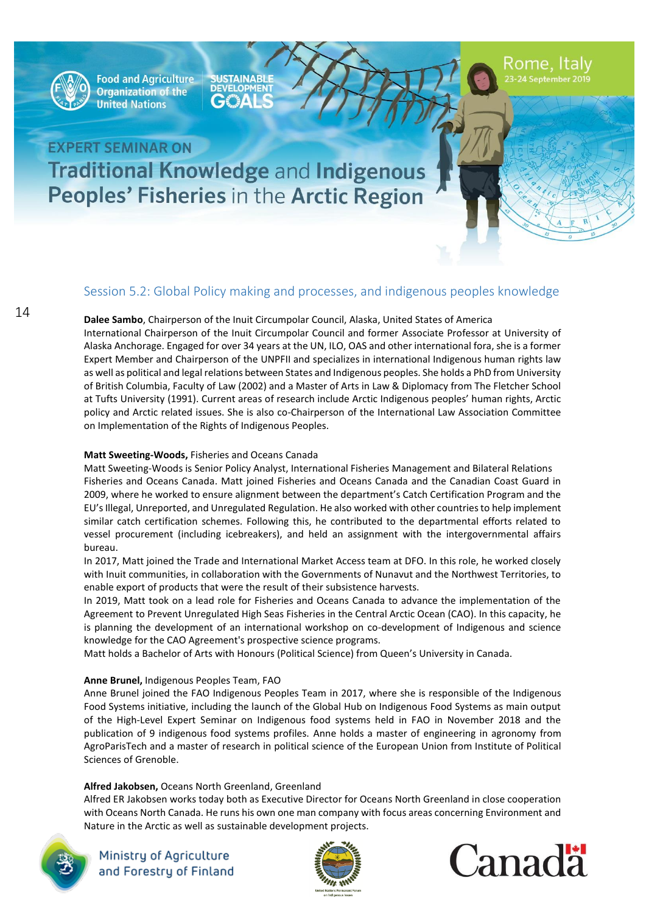

**Food and Agriculture Organization of the United Nations** 

**SUSTAINABLE DEVELOPMENT**  $\mathbf{A}$ 

Rome, Italy

# **EXPERT SEMINAR ON Traditional Knowledge and Indigenous** Peoples' Fisheries in the Arctic Region

### Session 5.2: Global Policy making and processes, and indigenous peoples knowledge

**Dalee Sambo**, Chairperson of the Inuit Circumpolar Council, Alaska, United States of America

International Chairperson of the Inuit Circumpolar Council and former Associate Professor at University of Alaska Anchorage. Engaged for over 34 years at the UN, ILO, OAS and other international fora, she is a former Expert Member and Chairperson of the UNPFII and specializes in international Indigenous human rights law as well as political and legal relations between States and Indigenous peoples. She holds a PhD from University of British Columbia, Faculty of Law (2002) and a Master of Arts in Law & Diplomacy from The Fletcher School at Tufts University (1991). Current areas of research include Arctic Indigenous peoples' human rights, Arctic policy and Arctic related issues. She is also co-Chairperson of the International Law Association Committee on Implementation of the Rights of Indigenous Peoples.

#### **Matt Sweeting-Woods,** Fisheries and Oceans Canada

Matt Sweeting-Woods is Senior Policy Analyst, International Fisheries Management and Bilateral Relations Fisheries and Oceans Canada. Matt joined Fisheries and Oceans Canada and the Canadian Coast Guard in 2009, where he worked to ensure alignment between the department's Catch Certification Program and the EU's Illegal, Unreported, and Unregulated Regulation. He also worked with other countries to help implement similar catch certification schemes. Following this, he contributed to the departmental efforts related to vessel procurement (including icebreakers), and held an assignment with the intergovernmental affairs bureau.

In 2017, Matt joined the Trade and International Market Access team at DFO. In this role, he worked closely with Inuit communities, in collaboration with the Governments of Nunavut and the Northwest Territories, to enable export of products that were the result of their subsistence harvests.

In 2019, Matt took on a lead role for Fisheries and Oceans Canada to advance the implementation of the Agreement to Prevent Unregulated High Seas Fisheries in the Central Arctic Ocean (CAO). In this capacity, he is planning the development of an international workshop on co-development of Indigenous and science knowledge for the CAO Agreement's prospective science programs.

Matt holds a Bachelor of Arts with Honours (Political Science) from Queen's University in Canada.

#### **Anne Brunel,** Indigenous Peoples Team, FAO

Anne Brunel joined the FAO Indigenous Peoples Team in 2017, where she is responsible of the Indigenous Food Systems initiative, including the launch of the Global Hub on Indigenous Food Systems as main output of the High-Level Expert Seminar on Indigenous food systems held in FAO in November 2018 and the publication of 9 indigenous food systems profiles. Anne holds a master of engineering in agronomy from AgroParisTech and a master of research in political science of the European Union from Institute of Political Sciences of Grenoble.

#### **Alfred Jakobsen,** Oceans North Greenland, Greenland

Alfred ER Jakobsen works today both as Executive Director for Oceans North Greenland in close cooperation with Oceans North Canada. He runs his own one man company with focus areas concerning Environment and Nature in the Arctic as well as sustainable development projects.





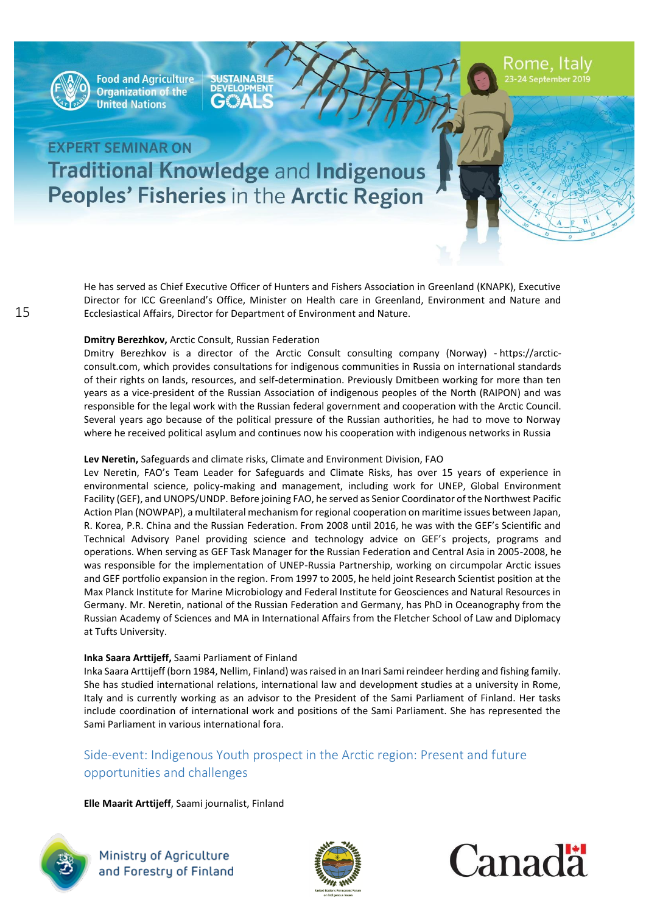

**SUSTAINABLE DEVELOPMENT**  $\Delta \epsilon$ 

Rome, Italy

# **EXPERT SEMINAR ON Traditional Knowledge and Indigenous Peoples' Fisheries in the Arctic Region**

He has served as Chief Executive Officer of Hunters and Fishers Association in Greenland (KNAPK), Executive Director for ICC Greenland's Office, Minister on Health care in Greenland, Environment and Nature and Ecclesiastical Affairs, Director for Department of Environment and Nature.

#### **Dmitry Berezhkov,** Arctic Consult, Russian Federation

Dmitry Berezhkov is a director of the Arctic Consult consulting company (Norway) - [https://arctic](https://arctic-consult.com/)[consult.com,](https://arctic-consult.com/) which provides consultations for indigenous communities in Russia on international standards of their rights on lands, resources, and self-determination. Previously Dmitbeen working for more than ten years as a vice-president of the Russian Association of indigenous peoples of the North (RAIPON) and was responsible for the legal work with the Russian federal government and cooperation with the Arctic Council. Several years ago because of the political pressure of the Russian authorities, he had to move to Norway where he received political asylum and continues now his cooperation with indigenous networks in Russia

#### **Lev Neretin,** Safeguards and climate risks, Climate and Environment Division, FAO

Lev Neretin, FAO's Team Leader for Safeguards and Climate Risks, has over 15 years of experience in environmental science, policy-making and management, including work for UNEP, Global Environment Facility (GEF), and UNOPS/UNDP. Before joining FAO, he served as Senior Coordinator of the Northwest Pacific Action Plan (NOWPAP), a multilateral mechanism for regional cooperation on maritime issues between Japan, R. Korea, P.R. China and the Russian Federation. From 2008 until 2016, he was with the GEF's Scientific and Technical Advisory Panel providing science and technology advice on GEF's projects, programs and operations. When serving as GEF Task Manager for the Russian Federation and Central Asia in 2005-2008, he was responsible for the implementation of UNEP-Russia Partnership, working on circumpolar Arctic issues and GEF portfolio expansion in the region. From 1997 to 2005, he held joint Research Scientist position at the Max Planck Institute for Marine Microbiology and Federal Institute for Geosciences and Natural Resources in Germany. Mr. Neretin, national of the Russian Federation and Germany, has PhD in Oceanography from the Russian Academy of Sciences and MA in International Affairs from the Fletcher School of Law and Diplomacy at Tufts University.

#### **Inka Saara Arttijeff,** Saami Parliament of Finland

Inka Saara Arttijeff (born 1984, Nellim, Finland) was raised in an Inari Sami reindeer herding and fishing family. She has studied international relations, international law and development studies at a university in Rome, Italy and is currently working as an advisor to the President of the Sami Parliament of Finland. Her tasks include coordination of international work and positions of the Sami Parliament. She has represented the Sami Parliament in various international fora.

### Side-event: Indigenous Youth prospect in the Arctic region: Present and future opportunities and challenges

### **Elle Maarit Arttijeff**, Saami journalist, Finland





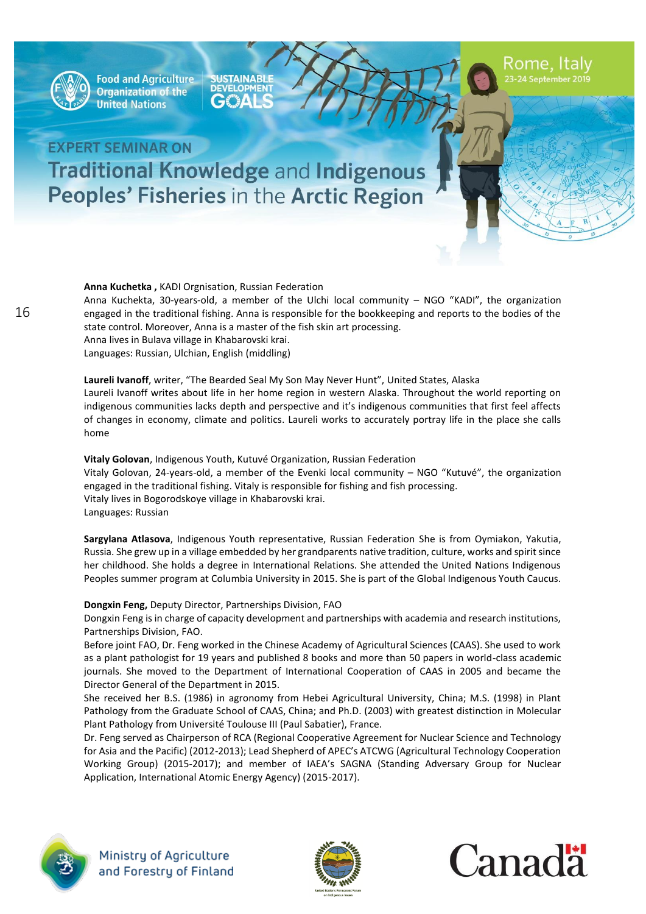

**SUSTAINABLE** €₩

# **EXPERT SEMINAR ON Traditional Knowledge and Indigenous Peoples' Fisheries in the Arctic Region**

**Anna Kuchetka ,** KADI Orgnisation, Russian Federation Anna Kuchekta, 30-years-old, a member of the Ulchi local community – NGO "KADI", the organization engaged in the traditional fishing. Anna is responsible for the bookkeeping and reports to the bodies of the state control. Moreover, Anna is a master of the fish skin art processing. Anna lives in Bulava village in Khabarovski krai. Languages: Russian, Ulchian, English (middling)

**Laureli Ivanoff**, writer, "The Bearded Seal My Son May Never Hunt", United States, Alaska Laureli Ivanoff writes about life in her home region in western Alaska. Throughout the world reporting on indigenous communities lacks depth and perspective and it's indigenous communities that first feel affects of changes in economy, climate and politics. Laureli works to accurately portray life in the place she calls home

**Vitaly Golovan**, Indigenous Youth, Kutuvé Organization, Russian Federation Vitaly Golovan, 24-years-old, a member of the Evenki local community – NGO "Kutuvé", the organization engaged in the traditional fishing. Vitaly is responsible for fishing and fish processing. Vitaly lives in Bogorodskoye village in Khabarovski krai. Languages: Russian

**Sargylana Atlasova**, Indigenous Youth representative, Russian Federation She is from Oymiakon, Yakutia, Russia. She grew up in a village embedded by her grandparents native tradition, culture, works and spirit since her childhood. She holds a degree in International Relations. She attended the United Nations Indigenous Peoples summer program at Columbia University in 2015. She is part of the Global Indigenous Youth Caucus.

#### **Dongxin Feng,** Deputy Director, Partnerships Division, FAO

Dongxin Feng is in charge of capacity development and partnerships with academia and research institutions, Partnerships Division, FAO.

Before joint FAO, Dr. Feng worked in the Chinese Academy of Agricultural Sciences (CAAS). She used to work as a plant pathologist for 19 years and published 8 books and more than 50 papers in world-class academic journals. She moved to the Department of International Cooperation of CAAS in 2005 and became the Director General of the Department in 2015.

She received her B.S. (1986) in agronomy from Hebei Agricultural University, China; M.S. (1998) in Plant Pathology from the Graduate School of CAAS, China; and Ph.D. (2003) with greatest distinction in Molecular Plant Pathology from Université Toulouse III (Paul Sabatier), France.

Dr. Feng served as Chairperson of RCA (Regional Cooperative Agreement for Nuclear Science and Technology for Asia and the Pacific) (2012-2013); Lead Shepherd of APEC's ATCWG (Agricultural Technology Cooperation Working Group) (2015-2017); and member of IAEA's SAGNA (Standing Adversary Group for Nuclear Application, International Atomic Energy Agency) (2015-2017).





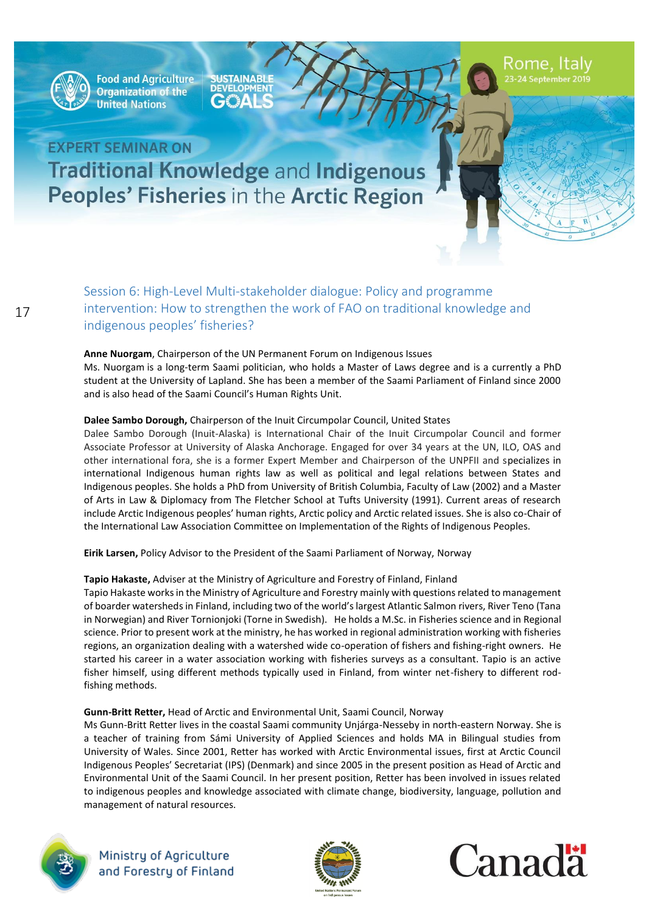

**SUSTAINABLE**<br>DEVELOPMENT GE"AL

# **EXPERT SEMINAR ON Traditional Knowledge and Indigenous** Peoples' Fisheries in the Arctic Region

Session 6: High-Level Multi-stakeholder dialogue: Policy and programme intervention: How to strengthen the work of FAO on traditional knowledge and indigenous peoples' fisheries?

#### **Anne Nuorgam**, Chairperson of the UN Permanent Forum on Indigenous Issues

Ms. Nuorgam is a long-term Saami politician, who holds a Master of Laws degree and is a currently a PhD student at the University of Lapland. She has been a member of the Saami Parliament of Finland since 2000 and is also head of the Saami Council's Human Rights Unit.

#### **Dalee Sambo Dorough,** Chairperson of the Inuit Circumpolar Council, United States

Dalee Sambo Dorough (Inuit-Alaska) is International Chair of the Inuit Circumpolar Council and former Associate Professor at University of Alaska Anchorage. Engaged for over 34 years at the UN, ILO, OAS and other international fora, she is a former Expert Member and Chairperson of the UNPFII and specializes in international Indigenous human rights law as well as political and legal relations between States and Indigenous peoples. She holds a PhD from University of British Columbia, Faculty of Law (2002) and a Master of Arts in Law & Diplomacy from The Fletcher School at Tufts University (1991). Current areas of research include Arctic Indigenous peoples' human rights, Arctic policy and Arctic related issues. She is also co-Chair of the International Law Association Committee on Implementation of the Rights of Indigenous Peoples.

**Eirik Larsen,** Policy Advisor to the President of the Saami Parliament of Norway, Norway

#### **Tapio Hakaste,** Adviser at the Ministry of Agriculture and Forestry of Finland, Finland

Tapio Hakaste works in the Ministry of Agriculture and Forestry mainly with questions related to management of boarder watersheds in Finland, including two of the world's largest Atlantic Salmon rivers, River Teno (Tana in Norwegian) and River Tornionjoki (Torne in Swedish). He holds a M.Sc. in Fisheries science and in Regional science. Prior to present work at the ministry, he has worked in regional administration working with fisheries regions, an organization dealing with a watershed wide co-operation of fishers and fishing-right owners. He started his career in a water association working with fisheries surveys as a consultant. Tapio is an active fisher himself, using different methods typically used in Finland, from winter net-fishery to different rodfishing methods.

#### **Gunn-Britt Retter,** Head of Arctic and Environmental Unit, Saami Council, Norway

Ms Gunn-Britt Retter lives in the coastal Saami community Unjárga-Nesseby in north-eastern Norway. She is a teacher of training from Sámi University of Applied Sciences and holds MA in Bilingual studies from University of Wales. Since 2001, Retter has worked with Arctic Environmental issues, first at Arctic Council Indigenous Peoples' Secretariat (IPS) (Denmark) and since 2005 in the present position as Head of Arctic and Environmental Unit of the Saami Council. In her present position, Retter has been involved in issues related to indigenous peoples and knowledge associated with climate change, biodiversity, language, pollution and management of natural resources.





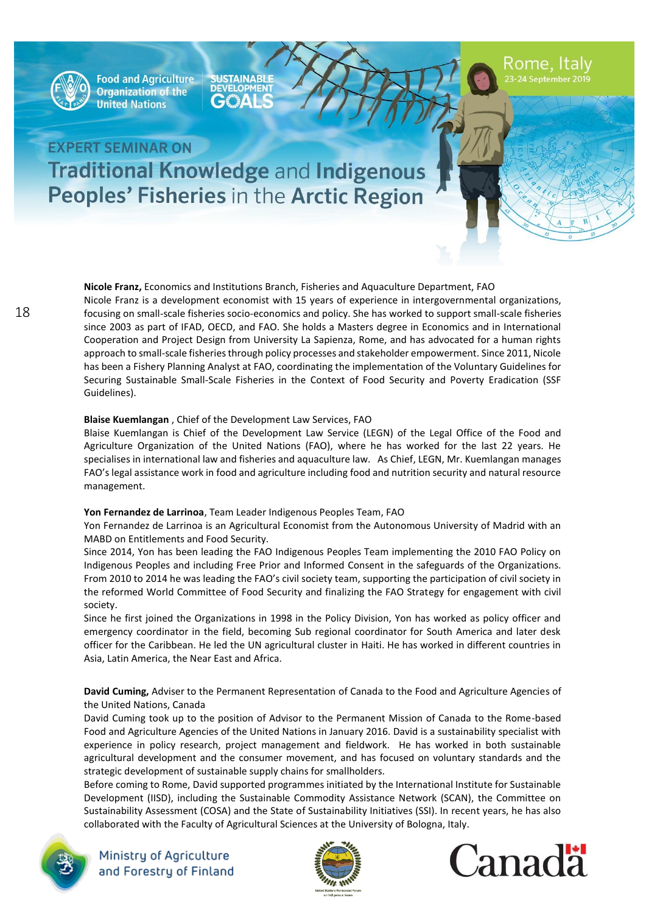

**SUSTAINABLE**  $\mathbf{A}$ 

Rome, Italy

# **EXPERT SEMINAR ON Traditional Knowledge and Indigenous** Peoples' Fisheries in the Arctic Region

**Nicole Franz,** Economics and Institutions Branch, Fisheries and Aquaculture Department, FAO Nicole Franz is a development economist with 15 years of experience in intergovernmental organizations, focusing on small-scale fisheries socio-economics and policy. She has worked to support small-scale fisheries since 2003 as part of IFAD, OECD, and FAO. She holds a Masters degree in Economics and in International Cooperation and Project Design from University La Sapienza, Rome, and has advocated for a human rights approach to small-scale fisheries through policy processes and stakeholder empowerment. Since 2011, Nicole has been a Fishery Planning Analyst at FAO, coordinating the implementation of the Voluntary Guidelines for Securing Sustainable Small-Scale Fisheries in the Context of Food Security and Poverty Eradication (SSF Guidelines).

#### **Blaise Kuemlangan** , Chief of the Development Law Services, FAO

Blaise Kuemlangan is Chief of the Development Law Service (LEGN) of the Legal Office of the Food and Agriculture Organization of the United Nations (FAO), where he has worked for the last 22 years. He specialises in international law and fisheries and aquaculture law. As Chief, LEGN, Mr. Kuemlangan manages FAO's legal assistance work in food and agriculture including food and nutrition security and natural resource management.

#### **Yon Fernandez de Larrinoa**, Team Leader Indigenous Peoples Team, FAO

Yon Fernandez de Larrinoa is an Agricultural Economist from the Autonomous University of Madrid with an MABD on Entitlements and Food Security.

Since 2014, Yon has been leading the FAO Indigenous Peoples Team implementing the 2010 FAO Policy on Indigenous Peoples and including Free Prior and Informed Consent in the safeguards of the Organizations. From 2010 to 2014 he was leading the FAO's civil society team, supporting the participation of civil society in the reformed World Committee of Food Security and finalizing the FAO Strategy for engagement with civil society.

Since he first joined the Organizations in 1998 in the Policy Division, Yon has worked as policy officer and emergency coordinator in the field, becoming Sub regional coordinator for South America and later desk officer for the Caribbean. He led the UN agricultural cluster in Haiti. He has worked in different countries in Asia, Latin America, the Near East and Africa.

**David Cuming,** Adviser to the Permanent Representation of Canada to the Food and Agriculture Agencies of the United Nations, Canada

David Cuming took up to the position of Advisor to the Permanent Mission of Canada to the Rome-based Food and Agriculture Agencies of the United Nations in January 2016. David is a sustainability specialist with experience in policy research, project management and fieldwork. He has worked in both sustainable agricultural development and the consumer movement, and has focused on voluntary standards and the strategic development of sustainable supply chains for smallholders.

Before coming to Rome, David supported programmes initiated by the International Institute for Sustainable Development (IISD), including the Sustainable Commodity Assistance Network (SCAN), the Committee on Sustainability Assessment (COSA) and the State of Sustainability Initiatives (SSI). In recent years, he has also collaborated with the Faculty of Agricultural Sciences at the University of Bologna, Italy.





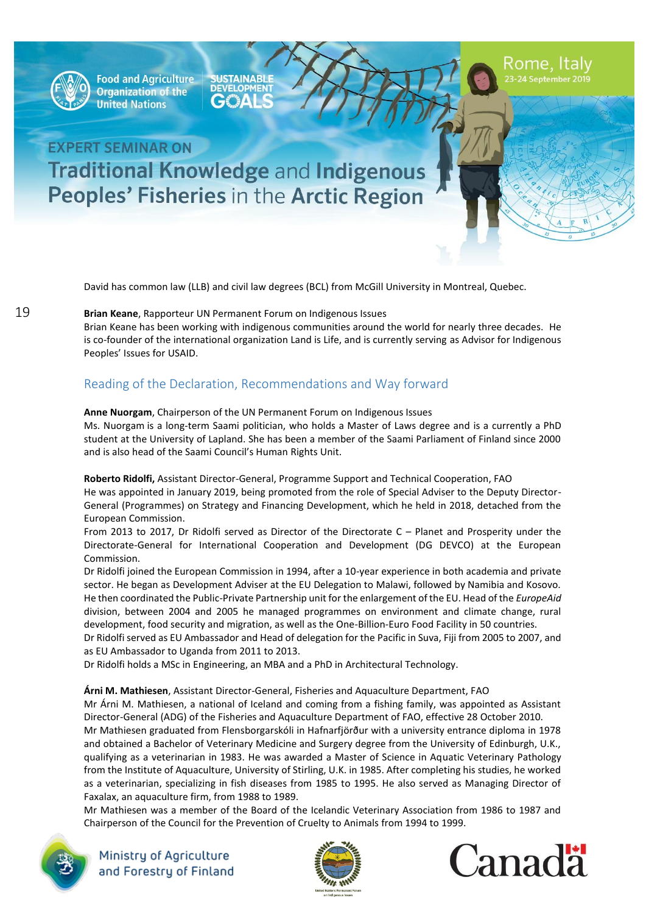

**Food and Agriculture Organization of the United Nations** 

**SUSTAINABLE** ▞▚Δ

# **EXPERT SEMINAR ON Traditional Knowledge and Indigenous** Peoples' Fisheries in the Arctic Region

David has common law (LLB) and civil law degrees (BCL) from McGill University in Montreal, Quebec.

**Brian Keane**, Rapporteur UN Permanent Forum on Indigenous Issues

Brian Keane has been working with indigenous communities around the world for nearly three decades. He is co-founder of the international organization Land is Life, and is currently serving as Advisor for Indigenous Peoples' Issues for USAID.

### Reading of the Declaration, Recommendations and Way forward

**Anne Nuorgam**, Chairperson of the UN Permanent Forum on Indigenous Issues

Ms. Nuorgam is a long-term Saami politician, who holds a Master of Laws degree and is a currently a PhD student at the University of Lapland. She has been a member of the Saami Parliament of Finland since 2000 and is also head of the Saami Council's Human Rights Unit.

**Roberto Ridolfi,** Assistant Director-General, Programme Support and Technical Cooperation, FAO He was appointed in January 2019, being promoted from the role of Special Adviser to the Deputy Director-General (Programmes) on Strategy and Financing Development, which he held in 2018, detached from the European Commission.

From 2013 to 2017, Dr Ridolfi served as Director of the Directorate C – Planet and Prosperity under the Directorate-General for International Cooperation and Development (DG DEVCO) at the European Commission.

Dr Ridolfi joined the European Commission in 1994, after a 10-year experience in both academia and private sector. He began as Development Adviser at the EU Delegation to Malawi, followed by Namibia and Kosovo. He then coordinated the Public-Private Partnership unit for the enlargement of the EU. Head of the *EuropeAid*  division, between 2004 and 2005 he managed programmes on environment and climate change, rural development, food security and migration, as well as the One-Billion-Euro Food Facility in 50 countries.

Dr Ridolfi served as EU Ambassador and Head of delegation for the Pacific in Suva, Fiji from 2005 to 2007, and as EU Ambassador to Uganda from 2011 to 2013.

Dr Ridolfi holds a MSc in Engineering, an MBA and a PhD in Architectural Technology.

### **Árni M. Mathiesen**, Assistant Director-General, Fisheries and Aquaculture Department, FAO

Mr Árni M. Mathiesen, a national of Iceland and coming from a fishing family, was appointed as Assistant Director-General (ADG) of the Fisheries and Aquaculture Department of FAO, effective 28 October 2010. Mr Mathiesen graduated from Flensborgarskóli in Hafnarfjörður with a university entrance diploma in 1978 and obtained a Bachelor of Veterinary Medicine and Surgery degree from the University of Edinburgh, U.K., qualifying as a veterinarian in 1983. He was awarded a Master of Science in Aquatic Veterinary Pathology from the Institute of Aquaculture, University of Stirling, U.K. in 1985. After completing his studies, he worked as a veterinarian, specializing in fish diseases from 1985 to 1995. He also served as Managing Director of Faxalax, an aquaculture firm, from 1988 to 1989.

Mr Mathiesen was a member of the Board of the Icelandic Veterinary Association from 1986 to 1987 and Chairperson of the Council for the Prevention of Cruelty to Animals from 1994 to 1999.